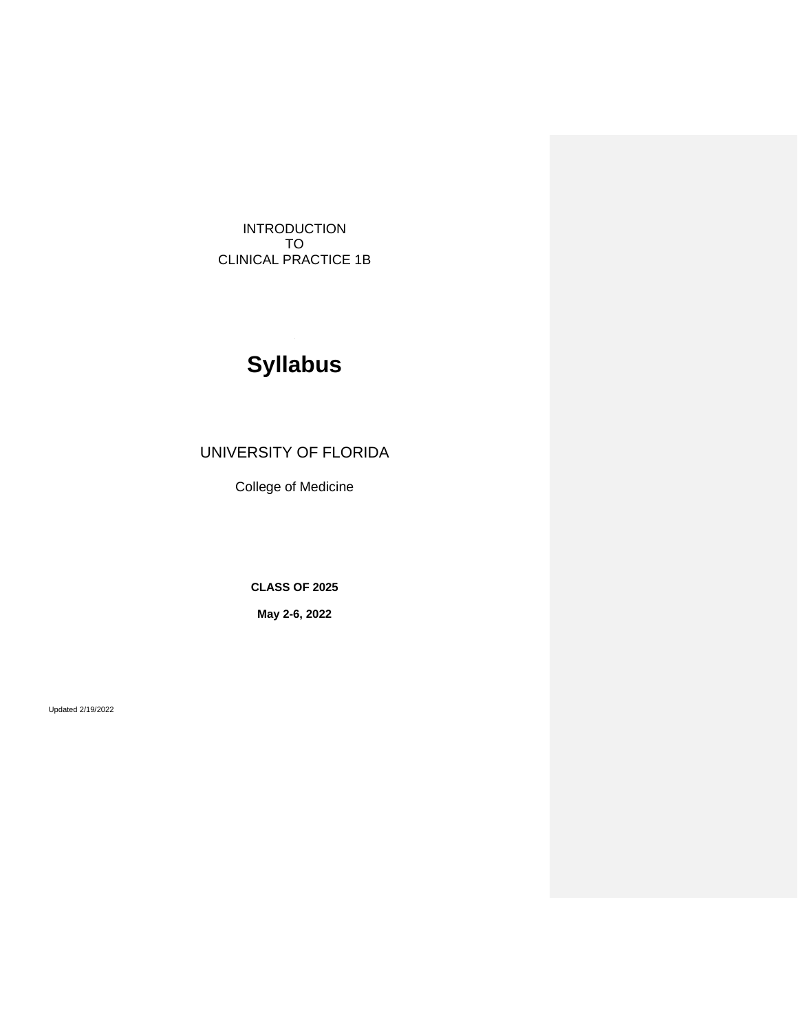INTRODUCTION TO CLINICAL PRACTICE 1B

# **Syllabus**

# UNIVERSITY OF FLORIDA

College of Medicine

**CLASS OF 2025**

**May 2-6, 2022**

Updated 2/19/2022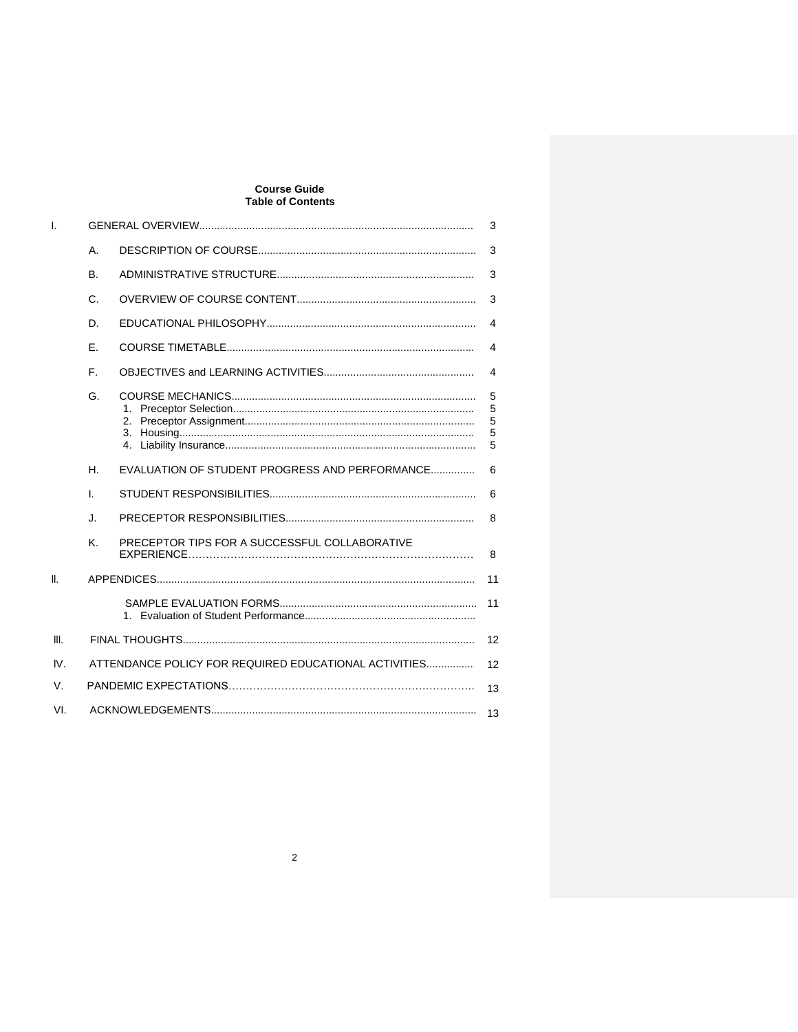# **Course Guide<br>Table of Contents**

| L    |                                                             | 3                                              |                       |  |
|------|-------------------------------------------------------------|------------------------------------------------|-----------------------|--|
|      | A.                                                          |                                                |                       |  |
|      | <b>B.</b>                                                   |                                                | 3                     |  |
|      | C.                                                          |                                                |                       |  |
|      | D.                                                          |                                                | 4                     |  |
|      | Е.                                                          |                                                | 4                     |  |
|      | F.                                                          |                                                | 4                     |  |
|      | G.                                                          |                                                | 5<br>5<br>5<br>5<br>5 |  |
|      | Н.                                                          | EVALUATION OF STUDENT PROGRESS AND PERFORMANCE | 6                     |  |
|      | L.                                                          |                                                | 6                     |  |
|      | J.                                                          |                                                | 8                     |  |
|      | K.                                                          | PRECEPTOR TIPS FOR A SUCCESSFUL COLLABORATIVE  | 8                     |  |
| Ⅱ.   |                                                             |                                                | 11                    |  |
|      |                                                             |                                                | 11                    |  |
| III. | 12                                                          |                                                |                       |  |
| IV.  | ATTENDANCE POLICY FOR REQUIRED EDUCATIONAL ACTIVITIES<br>12 |                                                |                       |  |
| V.   | 13                                                          |                                                |                       |  |
| VI.  | 13                                                          |                                                |                       |  |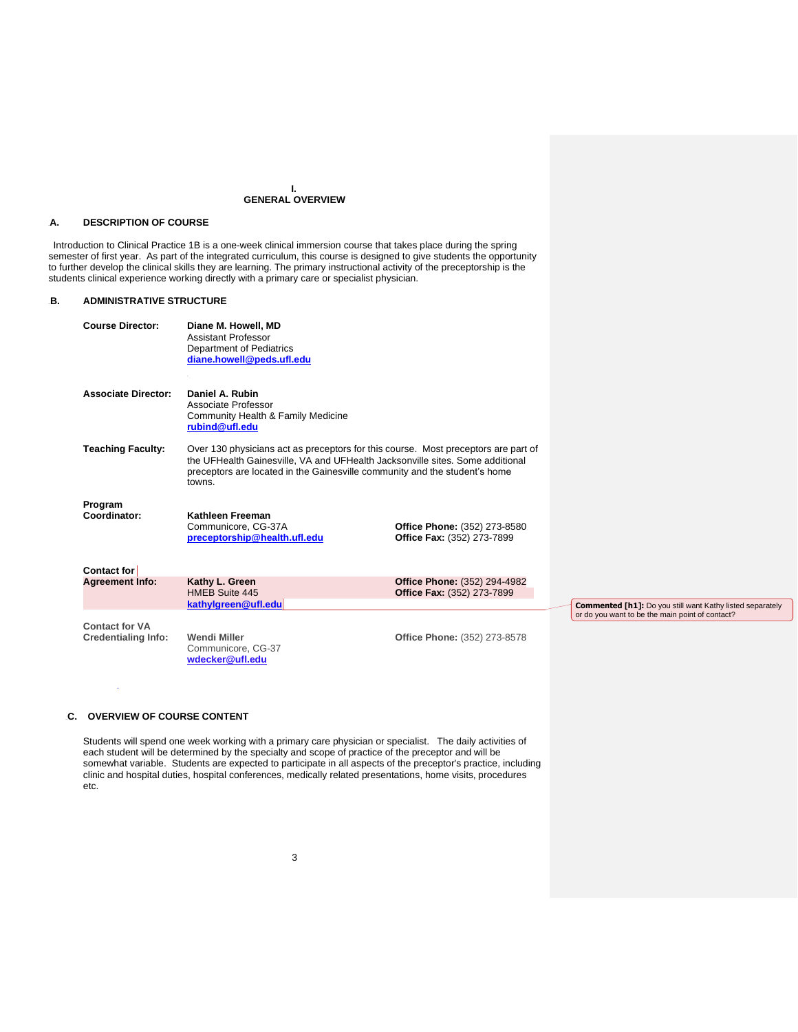#### **I. GENERAL OVERVIEW**

# 9B**A. DESCRIPTION OF COURSE**

 Introduction to Clinical Practice 1B is a one-week clinical immersion course that takes place during the spring semester of first year. As part of the integrated curriculum, this course is designed to give students the opportunity to further develop the clinical skills they are learning. The primary instructional activity of the preceptorship is the students clinical experience working directly with a primary care or specialist physician.

# **B. ADMINISTRATIVE STRUCTURE**

| <b>Course Director:</b>                             | Diane M. Howell, MD<br><b>Assistant Professor</b><br>Department of Pediatrics<br>diane.howell@peds.ufl.edu                                                                                                                                                  |                                                            |              |  |
|-----------------------------------------------------|-------------------------------------------------------------------------------------------------------------------------------------------------------------------------------------------------------------------------------------------------------------|------------------------------------------------------------|--------------|--|
| <b>Associate Director:</b>                          | Daniel A. Rubin<br>Associate Professor<br>Community Health & Family Medicine<br>rubind@ufl.edu                                                                                                                                                              |                                                            |              |  |
| <b>Teaching Faculty:</b>                            | Over 130 physicians act as preceptors for this course. Most preceptors are part of<br>the UFHealth Gainesville, VA and UFHealth Jacksonville sites. Some additional<br>preceptors are located in the Gainesville community and the student's home<br>towns. |                                                            |              |  |
| Program<br>Coordinator:                             | Kathleen Freeman<br>Communicore, CG-37A<br>preceptorship@health.ufl.edu                                                                                                                                                                                     | Office Phone: (352) 273-8580<br>Office Fax: (352) 273-7899 |              |  |
| Contact for                                         |                                                                                                                                                                                                                                                             |                                                            |              |  |
| <b>Agreement Info:</b>                              | Kathy L. Green<br>HMEB Suite 445<br>kathylgreen@ufl.edu                                                                                                                                                                                                     | Office Phone: (352) 294-4982<br>Office Fax: (352) 273-7899 | $\mathbf{C}$ |  |
| <b>Contact for VA</b><br><b>Credentialing Info:</b> | <b>Wendi Miller</b><br>Communicore, CG-37<br>wdecker@ufl.edu                                                                                                                                                                                                | <b>Office Phone: (352) 273-8578</b>                        | O            |  |

**Commented [h1]:** Do you still want Kathy listed separately or do you want to be the main point of contact?

# **C. OVERVIEW OF COURSE CONTENT**

**j** and  $\mathbf{y}$  is a set of  $\mathbf{y}$  is a set of  $\mathbf{y}$ 

Students will spend one week working with a primary care physician or specialist. The daily activities of each student will be determined by the specialty and scope of practice of the preceptor and will be somewhat variable. Students are expected to participate in all aspects of the preceptor's practice, including clinic and hospital duties, hospital conferences, medically related presentations, home visits, procedures etc.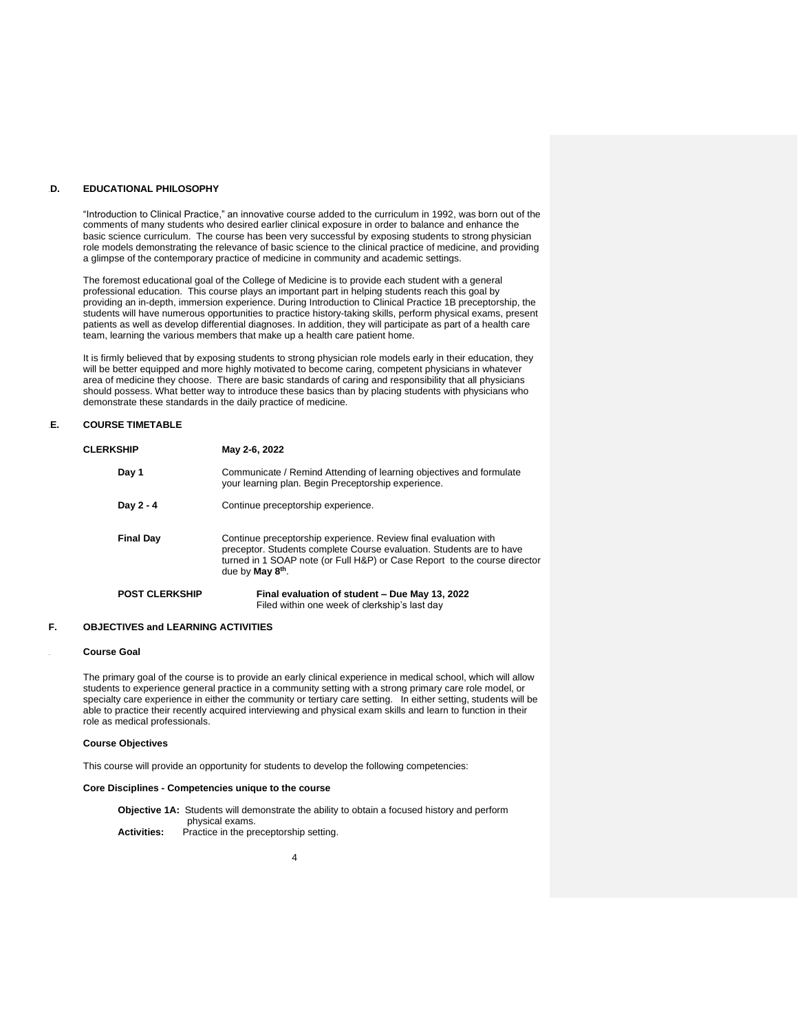## 13B**D. EDUCATIONAL PHILOSOPHY**

"Introduction to Clinical Practice," an innovative course added to the curriculum in 1992, was born out of the comments of many students who desired earlier clinical exposure in order to balance and enhance the basic science curriculum. The course has been very successful by exposing students to strong physician role models demonstrating the relevance of basic science to the clinical practice of medicine, and providing a glimpse of the contemporary practice of medicine in community and academic settings.

The foremost educational goal of the College of Medicine is to provide each student with a general professional education. This course plays an important part in helping students reach this goal by providing an in-depth, immersion experience. During Introduction to Clinical Practice 1B preceptorship, the students will have numerous opportunities to practice history-taking skills, perform physical exams, present patients as well as develop differential diagnoses. In addition, they will participate as part of a health care team, learning the various members that make up a health care patient home.

It is firmly believed that by exposing students to strong physician role models early in their education, they will be better equipped and more highly motivated to become caring, competent physicians in whatever area of medicine they choose. There are basic standards of caring and responsibility that all physicians should possess. What better way to introduce these basics than by placing students with physicians who demonstrate these standards in the daily practice of medicine.

# 14B**E. COURSE TIMETABLE**

| <b>CLERKSHIP</b>      | May 2-6, 2022                                                                                                                                                                                                                                        |  |  |
|-----------------------|------------------------------------------------------------------------------------------------------------------------------------------------------------------------------------------------------------------------------------------------------|--|--|
| Day 1                 | Communicate / Remind Attending of learning objectives and formulate<br>your learning plan. Begin Preceptorship experience.                                                                                                                           |  |  |
| Day 2 - 4             | Continue preceptorship experience.                                                                                                                                                                                                                   |  |  |
| <b>Final Day</b>      | Continue preceptorship experience. Review final evaluation with<br>preceptor. Students complete Course evaluation. Students are to have<br>turned in 1 SOAP note (or Full H&P) or Case Report to the course director<br>due by May 8 <sup>th</sup> . |  |  |
| <b>POST CLERKSHIP</b> | Final evaluation of student - Due May 13, 2022<br>Filed within one week of clerkship's last day                                                                                                                                                      |  |  |

## **F. OBJECTIVES and LEARNING ACTIVITIES**

#### **Course Goal**

The primary goal of the course is to provide an early clinical experience in medical school, which will allow students to experience general practice in a community setting with a strong primary care role model, or specialty care experience in either the community or tertiary care setting. In either setting, students will be able to practice their recently acquired interviewing and physical exam skills and learn to function in their role as medical professionals.

#### **Course Objectives**

This course will provide an opportunity for students to develop the following competencies:

# **Core Disciplines - Competencies unique to the course**

**Objective 1A:** Students will demonstrate the ability to obtain a focused history and perform physical exams. **Activities:** Practice in the preceptorship setting.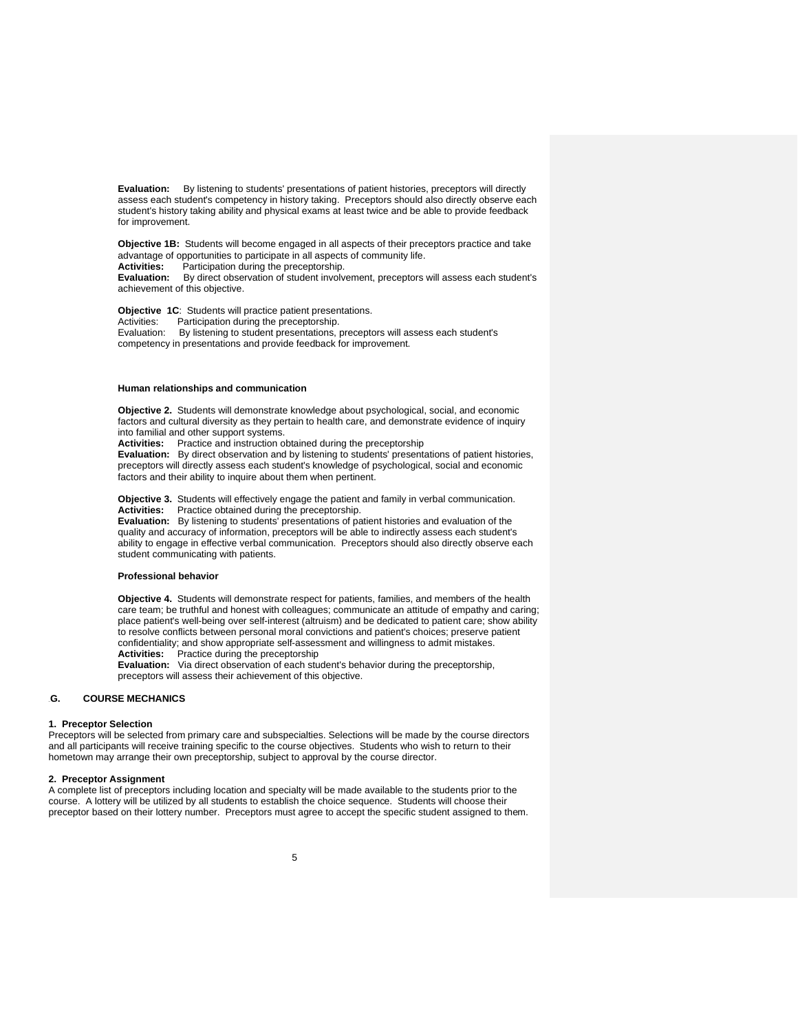**Evaluation:** By listening to students' presentations of patient histories, preceptors will directly assess each student's competency in history taking. Preceptors should also directly observe each student's history taking ability and physical exams at least twice and be able to provide feedback for improvement.

**Objective 1B:** Students will become engaged in all aspects of their preceptors practice and take advantage of opportunities to participate in all aspects of community life.

**Activities:** Participation during the preceptorship.

**Evaluation:** By direct observation of student involvement, preceptors will assess each student's achievement of this objective.

**Objective 1C**: Students will practice patient presentations.

Activities: Participation during the preceptorship.

Evaluation: By listening to student presentations, preceptors will assess each student's competency in presentations and provide feedback for improvement.

# **Human relationships and communication**

**Objective 2.** Students will demonstrate knowledge about psychological, social, and economic factors and cultural diversity as they pertain to health care, and demonstrate evidence of inquiry into familial and other support systems.

**Activities:** Practice and instruction obtained during the preceptorship

**Evaluation:** By direct observation and by listening to students' presentations of patient histories, preceptors will directly assess each student's knowledge of psychological, social and economic factors and their ability to inquire about them when pertinent.

**Objective 3.** Students will effectively engage the patient and family in verbal communication.<br>**Activities:** Practice obtained during the preceptorship. Practice obtained during the preceptorship.

**Evaluation:** By listening to students' presentations of patient histories and evaluation of the quality and accuracy of information, preceptors will be able to indirectly assess each student's ability to engage in effective verbal communication. Preceptors should also directly observe each student communicating with patients.

#### **Professional behavior**

**Objective 4.** Students will demonstrate respect for patients, families, and members of the health care team; be truthful and honest with colleagues; communicate an attitude of empathy and caring; place patient's well-being over self-interest (altruism) and be dedicated to patient care; show ability to resolve conflicts between personal moral convictions and patient's choices; preserve patient confidentiality; and show appropriate self-assessment and willingness to admit mistakes.  **Activities:** Practice during the preceptorship

> **Evaluation:** Via direct observation of each student's behavior during the preceptorship, preceptors will assess their achievement of this objective.

#### 16B**G. COURSE MECHANICS**

#### **1. Preceptor Selection**

Preceptors will be selected from primary care and subspecialties. Selections will be made by the course directors and all participants will receive training specific to the course objectives. Students who wish to return to their hometown may arrange their own preceptorship, subject to approval by the course director.

#### **2. Preceptor Assignment**

A complete list of preceptors including location and specialty will be made available to the students prior to the course. A lottery will be utilized by all students to establish the choice sequence. Students will choose their preceptor based on their lottery number. Preceptors must agree to accept the specific student assigned to them.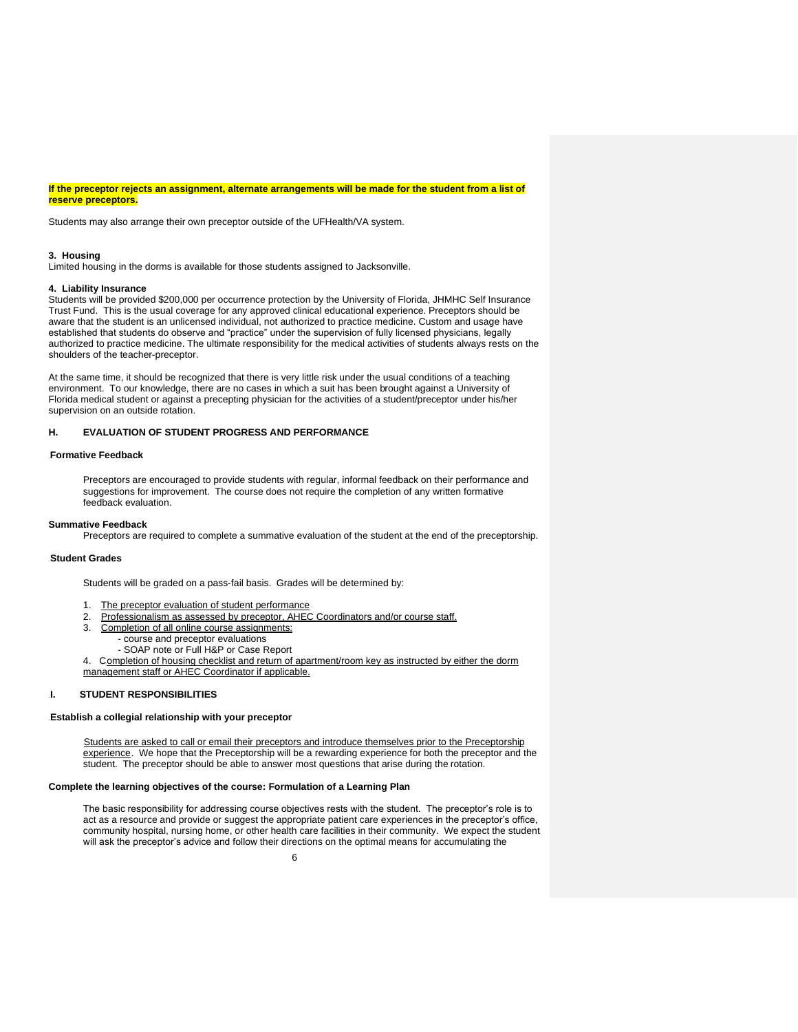**If the preceptor rejects an assignment, alternate arrangements will be made for the student from a list of reserve preceptors.**

Students may also arrange their own preceptor outside of the UFHealth/VA system.

#### **3. Housing**

Limited housing in the dorms is available for those students assigned to Jacksonville.

#### **4. Liability Insurance**

Students will be provided \$200,000 per occurrence protection by the University of Florida, JHMHC Self Insurance Trust Fund. This is the usual coverage for any approved clinical educational experience. Preceptors should be aware that the student is an unlicensed individual, not authorized to practice medicine. Custom and usage have established that students do observe and "practice" under the supervision of fully licensed physicians, legally authorized to practice medicine. The ultimate responsibility for the medical activities of students always rests on the shoulders of the teacher-preceptor.

At the same time, it should be recognized that there is very little risk under the usual conditions of a teaching environment. To our knowledge, there are no cases in which a suit has been brought against a University of Florida medical student or against a precepting physician for the activities of a student/preceptor under his/her supervision on an outside rotation.

#### **H. EVALUATION OF STUDENT PROGRESS AND PERFORMANCE**

# 17B**Formative Feedback**

Preceptors are encouraged to provide students with regular, informal feedback on their performance and suggestions for improvement. The course does not require the completion of any written formative feedback evaluation.

#### **Summative Feedback**

Preceptors are required to complete a summative evaluation of the student at the end of the preceptorship.

### **Student Grades**

Students will be graded on a pass-fail basis. Grades will be determined by:

- 1. The preceptor evaluation of student performance
- 2. Professionalism as assessed by preceptor, AHEC Coordinators and/or course staff.
- 3. Completion of all online course assignments:
	- course and preceptor evaluations
	- SOAP note or Full H&P or Case Report

4. Completion of housing checklist and return of apartment/room key as instructed by either the dorm management staff or AHEC Coordinator if applicable.

# 19B**I. STUDENT RESPONSIBILITIES**

# **Establish a collegial relationship with your preceptor**

Students are asked to call or email their preceptors and introduce themselves prior to the Preceptorship experience. We hope that the Preceptorship will be a rewarding experience for both the preceptor and the student. The preceptor should be able to answer most questions that arise during the rotation.

# **Complete the learning objectives of the course: Formulation of a Learning Plan**

The basic responsibility for addressing course objectives rests with the student. The preceptor's role is to act as a resource and provide or suggest the appropriate patient care experiences in the preceptor's office, community hospital, nursing home, or other health care facilities in their community. We expect the student will ask the preceptor's advice and follow their directions on the optimal means for accumulating the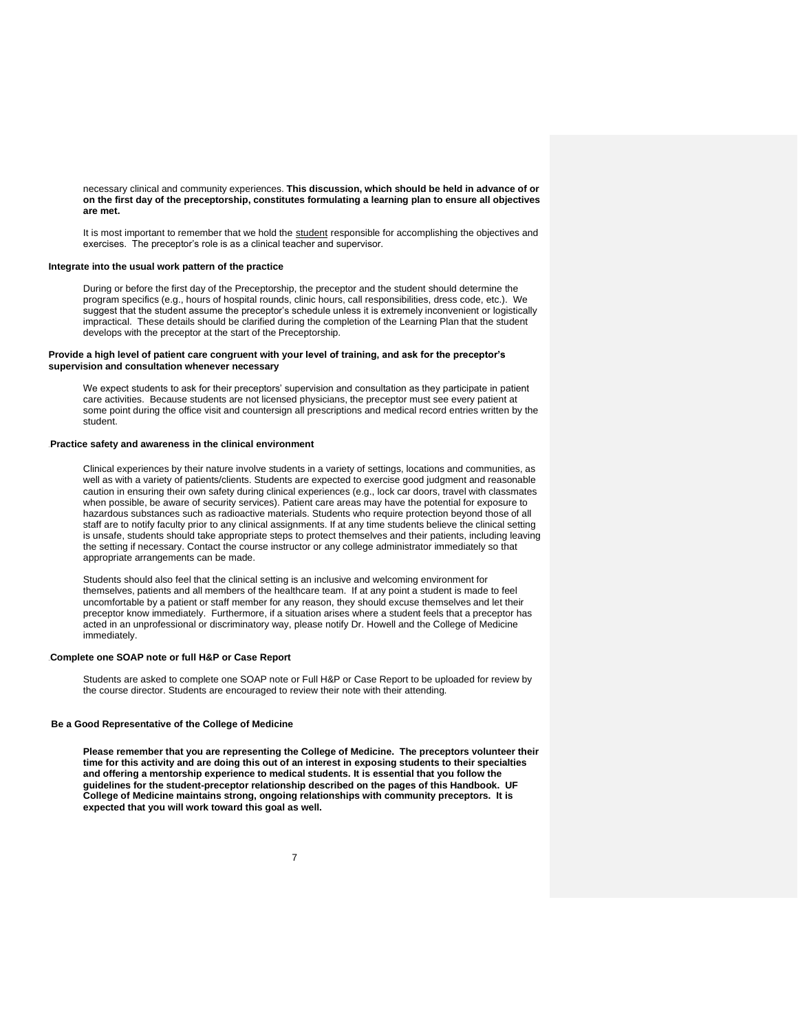necessary clinical and community experiences. **This discussion, which should be held in advance of or on the first day of the preceptorship, constitutes formulating a learning plan to ensure all objectives are met.** 

It is most important to remember that we hold the student responsible for accomplishing the objectives and exercises. The preceptor's role is as a clinical teacher and supervisor.

#### **Integrate into the usual work pattern of the practice**

During or before the first day of the Preceptorship, the preceptor and the student should determine the program specifics (e.g., hours of hospital rounds, clinic hours, call responsibilities, dress code, etc.). We suggest that the student assume the preceptor's schedule unless it is extremely inconvenient or logistically impractical. These details should be clarified during the completion of the Learning Plan that the student develops with the preceptor at the start of the Preceptorship.

### **Provide a high level of patient care congruent with your level of training, and ask for the preceptor's supervision and consultation whenever necessary**

We expect students to ask for their preceptors' supervision and consultation as they participate in patient care activities. Because students are not licensed physicians, the preceptor must see every patient at some point during the office visit and countersign all prescriptions and medical record entries written by the student.

# 25B**Practice safety and awareness in the clinical environment**

Clinical experiences by their nature involve students in a variety of settings, locations and communities, as well as with a variety of patients/clients. Students are expected to exercise good judgment and reasonable caution in ensuring their own safety during clinical experiences (e.g., lock car doors, travel with classmates when possible, be aware of security services). Patient care areas may have the potential for exposure to hazardous substances such as radioactive materials. Students who require protection beyond those of all staff are to notify faculty prior to any clinical assignments. If at any time students believe the clinical setting is unsafe, students should take appropriate steps to protect themselves and their patients, including leaving the setting if necessary. Contact the course instructor or any college administrator immediately so that appropriate arrangements can be made.

Students should also feel that the clinical setting is an inclusive and welcoming environment for themselves, patients and all members of the healthcare team. If at any point a student is made to feel uncomfortable by a patient or staff member for any reason, they should excuse themselves and let their preceptor know immediately. Furthermore, if a situation arises where a student feels that a preceptor has acted in an unprofessional or discriminatory way, please notify Dr. Howell and the College of Medicine immediately.

# 28B**Complete one SOAP note or full H&P or Case Report**

Students are asked to complete one SOAP note or Full H&P or Case Report to be uploaded for review by the course director. Students are encouraged to review their note with their attending.

# **Be a Good Representative of the College of Medicine**

**Please remember that you are representing the College of Medicine. The preceptors volunteer their time for this activity and are doing this out of an interest in exposing students to their specialties and offering a mentorship experience to medical students. It is essential that you follow the guidelines for the student-preceptor relationship described on the pages of this Handbook. UF College of Medicine maintains strong, ongoing relationships with community preceptors. It is expected that you will work toward this goal as well.**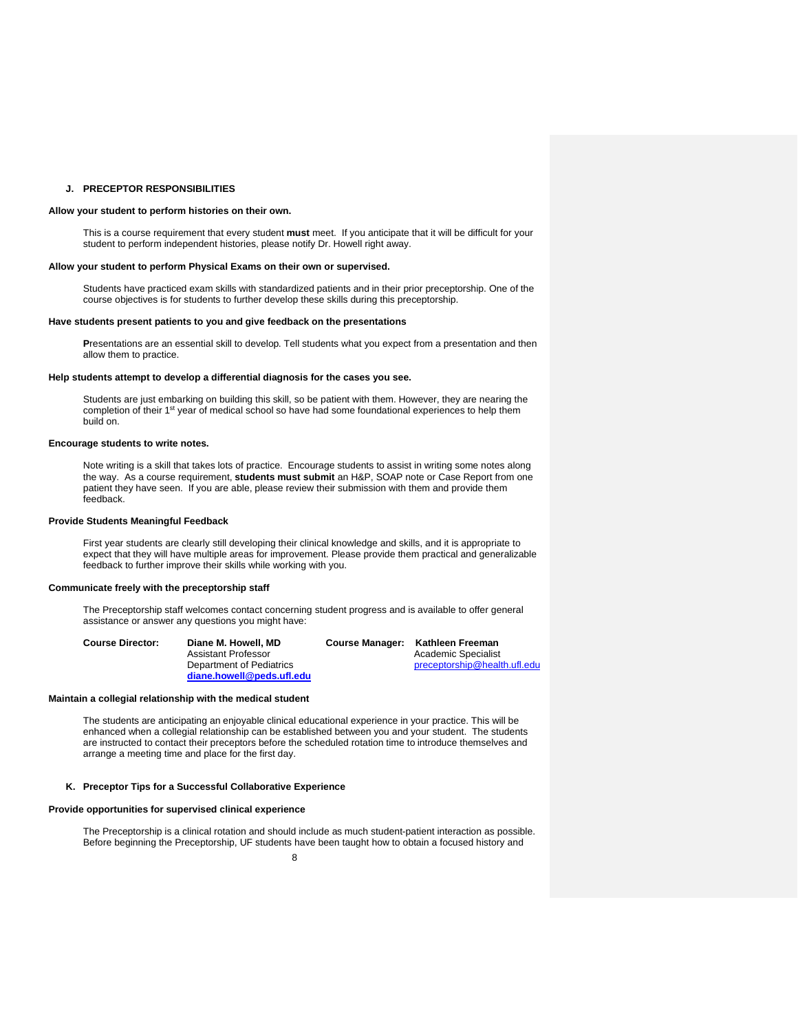#### **J. PRECEPTOR RESPONSIBILITIES**

#### **Allow your student to perform histories on their own.**

This is a course requirement that every student **must** meet. If you anticipate that it will be difficult for your student to perform independent histories, please notify Dr. Howell right away.

# **Allow your student to perform Physical Exams on their own or supervised.**

Students have practiced exam skills with standardized patients and in their prior preceptorship. One of the course objectives is for students to further develop these skills during this preceptorship.

#### **Have students present patients to you and give feedback on the presentations**

**P**resentations are an essential skill to develop. Tell students what you expect from a presentation and then allow them to practice.

#### **Help students attempt to develop a differential diagnosis for the cases you see.**

Students are just embarking on building this skill, so be patient with them. However, they are nearing the completion of their 1<sup>st</sup> year of medical school so have had some foundational experiences to help them build on.

# **Encourage students to write notes.**

Note writing is a skill that takes lots of practice. Encourage students to assist in writing some notes along the way. As a course requirement, **students must submit** an H&P, SOAP note or Case Report from one patient they have seen. If you are able, please review their submission with them and provide them feedback.

# **Provide Students Meaningful Feedback**

First year students are clearly still developing their clinical knowledge and skills, and it is appropriate to expect that they will have multiple areas for improvement. Please provide them practical and generalizable feedback to further improve their skills while working with you.

# **Communicate freely with the preceptorship staff**

The Preceptorship staff welcomes contact concerning student progress and is available to offer general assistance or answer any questions you might have:

| <b>Course Director:</b> | Diane M. Howell, MD       | Course Manager: Kathleen Freeman |  |
|-------------------------|---------------------------|----------------------------------|--|
|                         | Assistant Professor       | Academic Specialist              |  |
|                         | Department of Pediatrics  | preceptorship@health.ufl.edu     |  |
|                         | diane.howell@peds.ufl.edu |                                  |  |

#### **Maintain a collegial relationship with the medical student**

The students are anticipating an enjoyable clinical educational experience in your practice. This will be enhanced when a collegial relationship can be established between you and your student. The students are instructed to contact their preceptors before the scheduled rotation time to introduce themselves and arrange a meeting time and place for the first day.

# **K. Preceptor Tips for a Successful Collaborative Experience**

# **Provide opportunities for supervised clinical experience**

The Preceptorship is a clinical rotation and should include as much student-patient interaction as possible. Before beginning the Preceptorship, UF students have been taught how to obtain a focused history and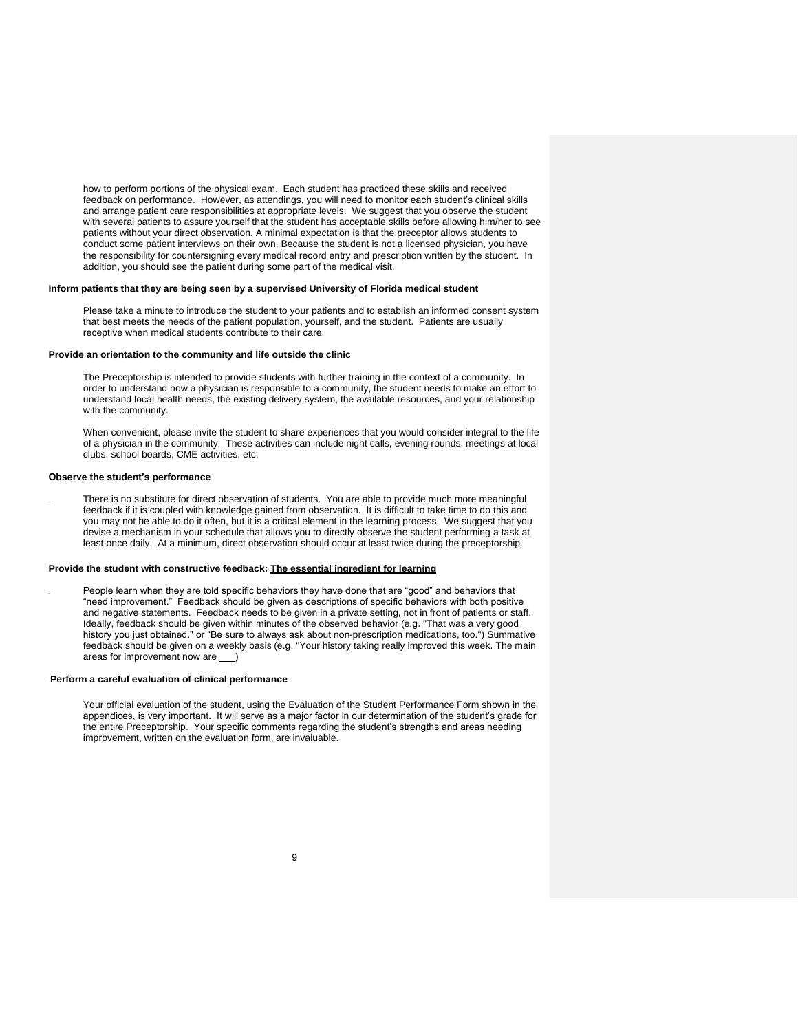how to perform portions of the physical exam. Each student has practiced these skills and received feedback on performance. However, as attendings, you will need to monitor each student's clinical skills and arrange patient care responsibilities at appropriate levels. We suggest that you observe the student with several patients to assure yourself that the student has acceptable skills before allowing him/her to see patients without your direct observation. A minimal expectation is that the preceptor allows students to conduct some patient interviews on their own. Because the student is not a licensed physician, you have the responsibility for countersigning every medical record entry and prescription written by the student. In addition, you should see the patient during some part of the medical visit.

# **Inform patients that they are being seen by a supervised University of Florida medical student**

Please take a minute to introduce the student to your patients and to establish an informed consent system that best meets the needs of the patient population, yourself, and the student. Patients are usually receptive when medical students contribute to their care.

# **Provide an orientation to the community and life outside the clinic**

The Preceptorship is intended to provide students with further training in the context of a community. In order to understand how a physician is responsible to a community, the student needs to make an effort to understand local health needs, the existing delivery system, the available resources, and your relationship with the community.

When convenient, please invite the student to share experiences that you would consider integral to the life of a physician in the community. These activities can include night calls, evening rounds, meetings at local clubs, school boards, CME activities, etc.

#### **Observe the student's performance**

There is no substitute for direct observation of students. You are able to provide much more meaningful feedback if it is coupled with knowledge gained from observation. It is difficult to take time to do this and you may not be able to do it often, but it is a critical element in the learning process. We suggest that you devise a mechanism in your schedule that allows you to directly observe the student performing a task at least once daily. At a minimum, direct observation should occur at least twice during the preceptorship.

# **Provide the student with constructive feedback: The essential ingredient for learning**

People learn when they are told specific behaviors they have done that are "good" and behaviors that "need improvement." Feedback should be given as descriptions of specific behaviors with both positive and negative statements. Feedback needs to be given in a private setting, not in front of patients or staff. Ideally, feedback should be given within minutes of the observed behavior (e.g. "That was a very good history you just obtained." or "Be sure to always ask about non-prescription medications, too.") Summative feedback should be given on a weekly basis (e.g. "Your history taking really improved this week. The main areas for improvement now are

# Perform a careful evaluation of clinical performance

Your official evaluation of the student, using the Evaluation of the Student Performance Form shown in the appendices, is very important. It will serve as a major factor in our determination of the student's grade for the entire Preceptorship. Your specific comments regarding the student's strengths and areas needing improvement, written on the evaluation form, are invaluable.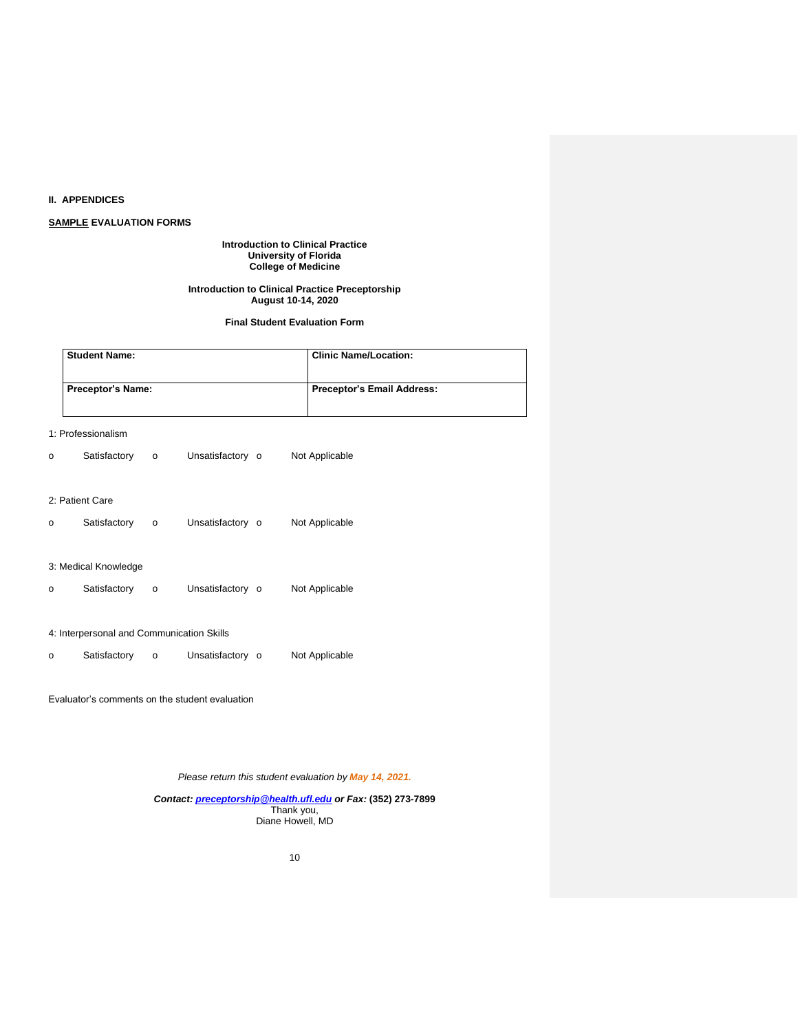# **II. APPENDICES**

# **SAMPLE EVALUATION FORMS**

#### **Introduction to Clinical Practice University of Florida College of Medicine**

# **Introduction to Clinical Practice Preceptorship August 10-14, 2020**

# **Final Student Evaluation Form**

| <b>Student Name:</b> |         |                          | <b>Clinic Name/Location:</b> |                                                          |  |
|----------------------|---------|--------------------------|------------------------------|----------------------------------------------------------|--|
|                      |         |                          |                              | <b>Preceptor's Email Address:</b>                        |  |
| 1: Professionalism   |         |                          |                              |                                                          |  |
| Satisfactory         | $\circ$ |                          |                              | Not Applicable                                           |  |
| 2: Patient Care      |         |                          |                              |                                                          |  |
| Satisfactory         | $\circ$ |                          |                              | Not Applicable                                           |  |
| 3: Medical Knowledge |         |                          |                              |                                                          |  |
| Satisfactory         | $\circ$ |                          |                              | Not Applicable                                           |  |
|                      |         | <b>Preceptor's Name:</b> |                              | Unsatisfactory o<br>Unsatisfactory o<br>Unsatisfactory o |  |

# 4: Interpersonal and Communication Skills

o Satisfactory o Unsatisfactory o Not Applicable

Evaluator's comments on the student evaluation

*Please return this student evaluation by May 14, 2021.*

*Contact: [preceptorship@health.ufl.edu](mailto:preceptorship@health.ufl.edu) or Fax:* **(352) 273-7899** Thank you, Diane Howell, MD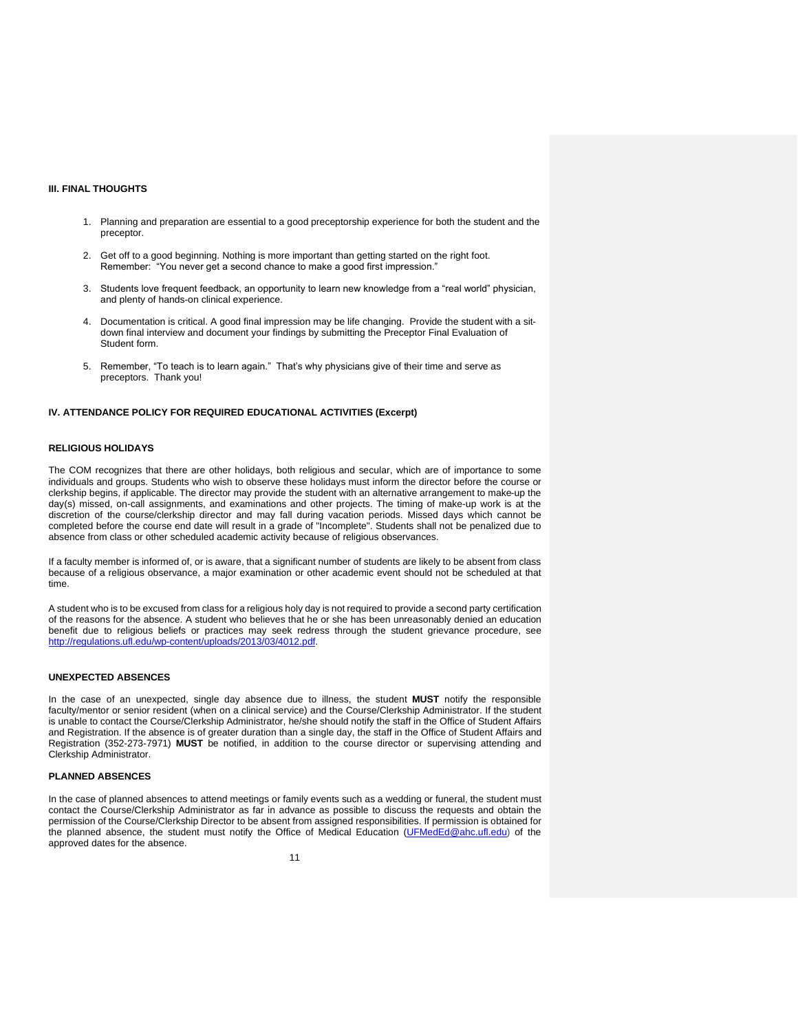## **III. FINAL THOUGHTS**

- 1. Planning and preparation are essential to a good preceptorship experience for both the student and the preceptor.
- 2. Get off to a good beginning. Nothing is more important than getting started on the right foot. Remember: "You never get a second chance to make a good first impression."
- 3. Students love frequent feedback, an opportunity to learn new knowledge from a "real world" physician, and plenty of hands-on clinical experience.
- 4. Documentation is critical. A good final impression may be life changing. Provide the student with a sitdown final interview and document your findings by submitting the Preceptor Final Evaluation of Student form.
- 5. Remember, "To teach is to learn again." That's why physicians give of their time and serve as preceptors. Thank you!

# **IV. ATTENDANCE POLICY FOR REQUIRED EDUCATIONAL ACTIVITIES (Excerpt)**

## **RELIGIOUS HOLIDAYS**

The COM recognizes that there are other holidays, both religious and secular, which are of importance to some individuals and groups. Students who wish to observe these holidays must inform the director before the course or clerkship begins, if applicable. The director may provide the student with an alternative arrangement to make-up the day(s) missed, on-call assignments, and examinations and other projects. The timing of make-up work is at the discretion of the course/clerkship director and may fall during vacation periods. Missed days which cannot be completed before the course end date will result in a grade of "Incomplete". Students shall not be penalized due to absence from class or other scheduled academic activity because of religious observances.

If a faculty member is informed of, or is aware, that a significant number of students are likely to be absent from class because of a religious observance, a major examination or other academic event should not be scheduled at that time.

A student who is to be excused from class for a religious holy day is not required to provide a second party certification of the reasons for the absence. A student who believes that he or she has been unreasonably denied an education benefit due to religious beliefs or practices may seek redress through the student grievance procedure, see [http://regulations.ufl.edu/wp-content/uploads/2013/03/4012.pdf.](http://regulations.ufl.edu/wp-content/uploads/2013/03/4012.pdf)

## **UNEXPECTED ABSENCES**

In the case of an unexpected, single day absence due to illness, the student **MUST** notify the responsible faculty/mentor or senior resident (when on a clinical service) and the Course/Clerkship Administrator. If the student is unable to contact the Course/Clerkship Administrator, he/she should notify the staff in the Office of Student Affairs and Registration. If the absence is of greater duration than a single day, the staff in the Office of Student Affairs and Registration (352-273-7971) **MUST** be notified, in addition to the course director or supervising attending and Clerkship Administrator.

# **PLANNED ABSENCES**

In the case of planned absences to attend meetings or family events such as a wedding or funeral, the student must contact the Course/Clerkship Administrator as far in advance as possible to discuss the requests and obtain the permission of the Course/Clerkship Director to be absent from assigned responsibilities. If permission is obtained for the planned absence, the student must notify the Office of Medical Education [\(UFMedEd@ahc.ufl.edu\)](mailto:UFMedEd@ahc.ufl.edu) of the approved dates for the absence.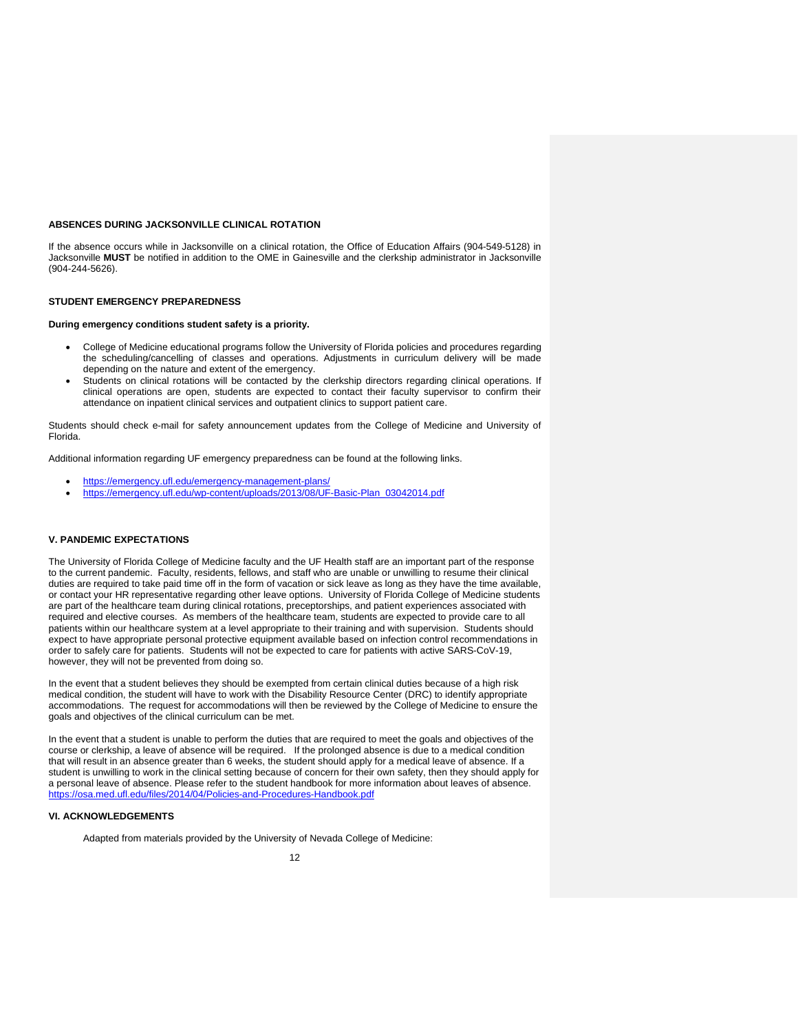# **ABSENCES DURING JACKSONVILLE CLINICAL ROTATION**

If the absence occurs while in Jacksonville on a clinical rotation, the Office of Education Affairs (904-549-5128) in Jacksonville **MUST** be notified in addition to the OME in Gainesville and the clerkship administrator in Jacksonville (904-244-5626).

#### **STUDENT EMERGENCY PREPAREDNESS**

# **During emergency conditions student safety is a priority.**

- College of Medicine educational programs follow the University of Florida policies and procedures regarding the scheduling/cancelling of classes and operations. Adjustments in curriculum delivery will be made depending on the nature and extent of the emergency.
- Students on clinical rotations will be contacted by the clerkship directors regarding clinical operations. If clinical operations are open, students are expected to contact their faculty supervisor to confirm their attendance on inpatient clinical services and outpatient clinics to support patient care.

Students should check e-mail for safety announcement updates from the College of Medicine and University of Florida.

Additional information regarding UF emergency preparedness can be found at the following links.

- <https://emergency.ufl.edu/emergency-management-plans/>
- [https://emergency.ufl.edu/wp-content/uploads/2013/08/UF-Basic-Plan\\_03042014.pdf](https://emergency.ufl.edu/wp-content/uploads/2013/08/UF-Basic-Plan_03042014.pdf)

# **V. PANDEMIC EXPECTATIONS**

The University of Florida College of Medicine faculty and the UF Health staff are an important part of the response to the current pandemic. Faculty, residents, fellows, and staff who are unable or unwilling to resume their clinical duties are required to take paid time off in the form of vacation or sick leave as long as they have the time available, or contact your HR representative regarding other leave options. University of Florida College of Medicine students are part of the healthcare team during clinical rotations, preceptorships, and patient experiences associated with required and elective courses. As members of the healthcare team, students are expected to provide care to all patients within our healthcare system at a level appropriate to their training and with supervision. Students should expect to have appropriate personal protective equipment available based on infection control recommendations in order to safely care for patients. Students will not be expected to care for patients with active SARS-CoV-19, however, they will not be prevented from doing so.

In the event that a student believes they should be exempted from certain clinical duties because of a high risk medical condition, the student will have to work with the Disability Resource Center (DRC) to identify appropriate accommodations. The request for accommodations will then be reviewed by the College of Medicine to ensure the goals and objectives of the clinical curriculum can be met.

In the event that a student is unable to perform the duties that are required to meet the goals and objectives of the course or clerkship, a leave of absence will be required. If the prolonged absence is due to a medical condition that will result in an absence greater than 6 weeks, the student should apply for a medical leave of absence. If a student is unwilling to work in the clinical setting because of concern for their own safety, then they should apply for a personal leave of absence. Please refer to the student handbook for more information about leaves of absence. <https://osa.med.ufl.edu/files/2014/04/Policies-and-Procedures-Handbook.pdf>

# **VI. ACKNOWLEDGEMENTS**

Adapted from materials provided by the University of Nevada College of Medicine: